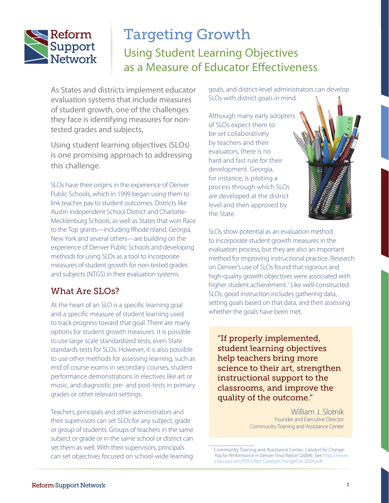

# Targeting Growth Using Student Learning Objectives as a Measure of Educator Effectiveness

As States and districts implement educator evaluation systems that include measures of student growth, one of the challenges they face is identifying measures for nontested grades and subjects.

Using student learning objectives (SLOs) is one promising approach to addressing this challenge.

SLOs have their origins in the experience of Denver Public Schools, which in 1999 began using them to link teacher pay to student outcomes. Districts like Austin Independent School District and Charlotte-Mecklenburg Schools, as well as States that won Race to the Top grants—including Rhode Island, Georgia, New York and several others—are building on the experience of Denver Public Schools and developing methods for using SLOs as a tool to incorporate measures of student growth for non-tested grades and subjects (NTGS) in their evaluation systems.

## What Are SLOs?

At the heart of an SLO is a specific learning goal and a specific measure of student learning used to track progress toward that goal. There are many options for student growth measures. It is possible to use large scale standardized tests, even State standards tests for SLOs. However, it is also possible to use other methods for assessing learning, such as end of course exams in secondary courses, student performance demonstrations in electives like art or music, and diagnostic pre- and post-tests in primary grades or other relevant settings.

Teachers, principals and other administrators and their supervisors can set SLOs for any subject, grade or group of students. Groups of teachers in the same subject or grade or in the same school or district can set them as well. With their supervisors, principals can set objectives focused on school-wide learning goals, and district-level administrators can develop SLOs with district goals in mind.

Although many early adopters of SLOs expect them to be set collaboratively by teachers and their evaluators, there is no hard and fast rule for their development. Georgia, for instance, is piloting a process through which SLOs are developed at the district level and then approved by the State.

SLOs show potential as an evaluation method to incorporate student growth measures in the evaluation process, but they are also an important method for improving instructional practice. Research on Denver's use of SLOs found that rigorous and high-quality growth objectives were associated with higher student achievement.<sup>1</sup> Like well-constructed SLOs, good instruction includes gathering data, setting goals based on that data, and then assessing whether the goals have been met.

"If properly implemented, student learning objectives help teachers bring more science to their art, strengthen instructional support to the classrooms, and improve the quality of the outcome."

> William J. Slotnik Founder and Executive Director Community Training and Assistance Center

<sup>1</sup> Community Training and Assistance Center. *Catalyst for Change: Pay for Performance in Denver Final Report* (2004). See [http://www.](http://www.ctacusa.com/PDFs/Rpt-CatalystChangeFull-2004.pdf) [ctacusa.com/PDFs/Rpt-CatalystChangeFull-2004.pdf](http://www.ctacusa.com/PDFs/Rpt-CatalystChangeFull-2004.pdf).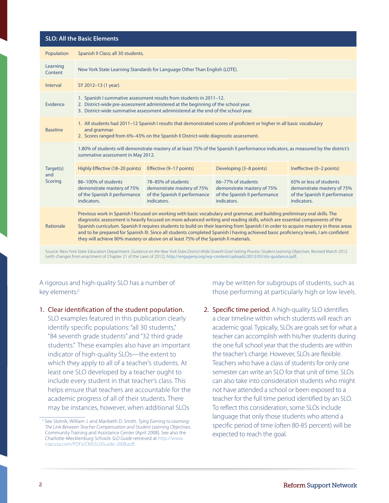#### **SLO: All the Basic Elements**

| Population                  | Spanish II Class; all 30 students.                                                                                                                                                                                                                                                                                                                                                                                                                                                                                                                                                                                               |                                                                                                  |                                                                                                  |                                                                                                       |
|-----------------------------|----------------------------------------------------------------------------------------------------------------------------------------------------------------------------------------------------------------------------------------------------------------------------------------------------------------------------------------------------------------------------------------------------------------------------------------------------------------------------------------------------------------------------------------------------------------------------------------------------------------------------------|--------------------------------------------------------------------------------------------------|--------------------------------------------------------------------------------------------------|-------------------------------------------------------------------------------------------------------|
| Learning<br>Content         | New York State Learning Standards for Language Other Than English (LOTE).                                                                                                                                                                                                                                                                                                                                                                                                                                                                                                                                                        |                                                                                                  |                                                                                                  |                                                                                                       |
| Interval                    | SY 2012-13 (1 year).                                                                                                                                                                                                                                                                                                                                                                                                                                                                                                                                                                                                             |                                                                                                  |                                                                                                  |                                                                                                       |
| Evidence                    | 1. Spanish I summative assessment results from students in 2011-12.<br>2. District-wide pre-assessment administered at the beginning of the school year.<br>3. District-wide summative assessment administered at the end of the school year.                                                                                                                                                                                                                                                                                                                                                                                    |                                                                                                  |                                                                                                  |                                                                                                       |
| <b>Baseline</b>             | 1. All students had 2011-12 Spanish I results that demonstrated scores of proficient or higher in all basic vocabulary<br>and grammar.<br>2. Scores ranged from 6%-43% on the Spanish II District-wide diagnostic assessment.                                                                                                                                                                                                                                                                                                                                                                                                    |                                                                                                  |                                                                                                  |                                                                                                       |
| Target(s)<br>and<br>Scoring | 1.80% of students will demonstrate mastery of at least 75% of the Spanish II performance indicators, as measured by the district's<br>summative assessment in May 2012.                                                                                                                                                                                                                                                                                                                                                                                                                                                          |                                                                                                  |                                                                                                  |                                                                                                       |
|                             | Highly Effective (18-20 points)                                                                                                                                                                                                                                                                                                                                                                                                                                                                                                                                                                                                  | Effective (9-17 points)                                                                          | Developing (3-8 points)                                                                          | Ineffective (0-2 points)                                                                              |
|                             | 86-100% of students<br>demonstrate mastery of 75%<br>of the Spanish II performance<br>indicators.                                                                                                                                                                                                                                                                                                                                                                                                                                                                                                                                | 78-85% of students<br>demonstrate mastery of 75%<br>of the Spanish II performance<br>indicators. | 66-77% of students<br>demonstrate mastery of 75%<br>of the Spanish II performance<br>indicators. | 65% or less of students<br>demonstrate mastery of 75%<br>of the Spanish II performance<br>indicators. |
| Rationale                   | Previous work in Spanish I focused on working with basic vocabulary and grammar, and building preliminary oral skills. The<br>diagnostic assessment is heavily focused on more advanced writing and reading skills, which are essential components of the<br>Spanish curriculum. Spanish II requires students to build on their learning from Spanish I in order to acquire mastery in these areas<br>and to be prepared for Spanish III. Since all students completed Spanish I having achieved basic proficiency levels, I am confident<br>they will achieve 80% mastery or above on at least 75% of the Spanish II materials. |                                                                                                  |                                                                                                  |                                                                                                       |

Source: New York State Education Department, *Guidance on the New York State District-Wide Growth Goal-Setting Process: Student Learning Objectives*, Revised March 2012 (with changes from enactment of Chapter 21 of the Laws of 2012), [http://engageny.org/wp-content/uploads/2012/03/slo-guidance.pdf.](http://engageny.org/wp-content/uploads/2012/03/slo-guidance.pdf)

#### A rigorous and high-quality SLO has a number of key elements:2

1. Clear identification of the student population. SLO examples featured in this publication clearly identify specific populations: "all 30 students," "84 seventh grade students" and "32 third grade students." These examples also have an important indicator of high-quality SLOs—the extent to which they apply to all of a teacher's students. At least one SLO developed by a teacher ought to include every student in that teacher's class. This helps ensure that teachers are accountable for the academic progress of all of their students. There may be instances, however, when additional SLOs

may be written for subgroups of students, such as those performing at particularly high or low levels.

2. Specific time period. A high-quality SLO identifies a clear timeline within which students will reach an academic goal. Typically, SLOs are goals set for what a teacher can accomplish with his/her students during the one full school year that the students are within the teacher's charge. However, SLOs are flexible. Teachers who have a class of students for only one semester can write an SLO for that unit of time. SLOs can also take into consideration students who might not have attended a school or been exposed to a teacher for the full time period identified by an SLO. To reflect this consideration, some SLOs include language that only those students who attend a specific period of time (often 80-85 percent) will be expected to reach the goal.

<sup>2</sup> See Slotnik, William J. and Maribeth D. Smith. *Tying Earning to Learning: The Link Between Teacher Compensation and Student Learning Objectives*. Community Training and Assistance Center (April 2008). See also the Charlotte-Mecklenburg Schools *SLO Guide* retrieved at [http://www.](http://www.ctacusa.com/PDFs/CMSSLOGuide-2008.pdf) [ctacusa.com/PDFs/CMSSLOGuide-2008.pdf.](http://www.ctacusa.com/PDFs/CMSSLOGuide-2008.pdf)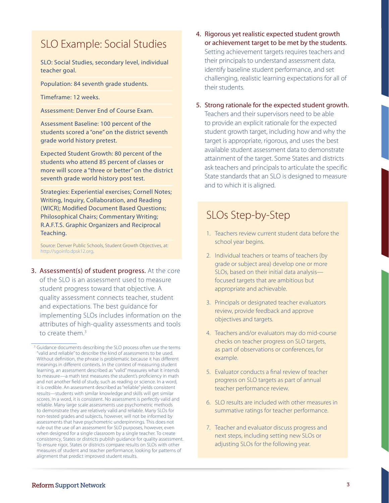## SLO Example: Social Studies

SLO: Social Studies, secondary level, individual teacher goal.

Population: 84 seventh grade students.

Timeframe: 12 weeks.

Assessment: Denver End of Course Exam.

Assessment Baseline: 100 percent of the students scored a "one" on the district seventh grade world history pretest.

Expected Student Growth: 80 percent of the students who attend 85 percent of classes or more will score a "three or better" on the district seventh grade world history post test.

Strategies: Experiential exercises; Cornell Notes; Writing, Inquiry, Collaboration, and Reading (WICR); Modified Document Based Questions; Philosophical Chairs; Commentary Writing; R.A.F.T.S. Graphic Organizers and Reciprocal Teaching.

Source: Denver Public Schools, Student Growth Objectives, at: [http://sgoinfo.dpsk12.org.](http://sgoinfo.dpsk12.org)

3. Assessment(s) of student progress. At the core of the SLO is an assessment used to measure student progress toward that objective. A quality assessment connects teacher, student and expectations. The best guidance for implementing SLOs includes information on the attributes of high-quality assessments and tools to create them.3

4. Rigorous yet realistic expected student growth or achievement target to be met by the students. Setting achievement targets requires teachers and their principals to understand assessment data, identify baseline student performance, and set challenging, realistic learning expectations for all of their students.

### 5. Strong rationale for the expected student growth. Teachers and their supervisors need to be able to provide an explicit rationale for the expected student growth target, including how and why the target is appropriate, rigorous, and uses the best available student assessment data to demonstrate attainment of the target. Some States and districts ask teachers and principals to articulate the specific State standards that an SLO is designed to measure and to which it is aligned.

## SLOs Step-by-Step

- 1. Teachers review current student data before the school year begins.
- 2. Individual teachers or teams of teachers (by grade or subject area) develop one or more SLOs, based on their initial data analysis focused targets that are ambitious but appropriate and achievable.
- 3. Principals or designated teacher evaluators review, provide feedback and approve objectives and targets.
- 4. Teachers and/or evaluators may do mid-course checks on teacher progress on SLO targets, as part of observations or conferences, for example.
- 5. Evaluator conducts a final review of teacher progress on SLO targets as part of annual teacher performance review.
- 6. SLO results are included with other measures in summative ratings for teacher performance.
- 7. Teacher and evaluator discuss progress and next steps, including setting new SLOs or adjusting SLOs for the following year.

<sup>&</sup>lt;sup>3</sup> Guidance documents describing the SLO process often use the terms "valid and reliable" to describe the kind of assessments to be used. Without definition, the phrase is problematic because it has different meanings in different contexts. In the context of measuring student learning, an assessment described as "valid" measures what it intends to measure—a math test measures the student's proficiency in math and not another field of study, such as reading or science. In a word, it is credible. An assessment described as "reliable" yields consistent results—students with similar knowledge and skills will get similar scores. In a word, it is consistent. No assessment is perfectly valid and reliable. Many large scale assessments use psychometric methods to demonstrate they are relatively valid and reliable. Many SLOs for non-tested grades and subjects, however, will not be informed by assessments that have psychometric underpinnings. This does not rule out the use of an assessment for SLO purposes, however, even when designed for a single classroom by a single teacher. To create consistency, States or districts publish guidance for quality assessment. To ensure rigor, States or districts compare results on SLOs with other measures of student and teacher performance, looking for patterns of alignment that predict improved student results.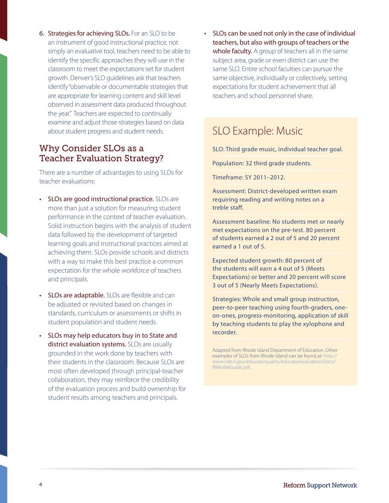6. Strategies for achieving SLOs. For an SLO to be an instrument of good instructional practice, not simply an evaluative tool, teachers need to be able to identify the specific approaches they will use in the classroom to meet the expectations set for student growth. Denver's SLO guidelines ask that teachers identify "observable or documentable strategies that are appropriate for learning content and skill level observed in assessment data produced throughout the year." Teachers are expected to continually examine and adjust those strategies based on data about student progress and student needs.

### Why Consider SLOs as a Teacher Evaluation Strategy?

There are a number of advantages to using SLOs for teacher evaluations:

- SLOs are good instructional practice. SLOs are more than just a solution for measuring student performance in the context of teacher evaluation. Solid instruction begins with the analysis of student data followed by the development of targeted learning goals and instructional practices aimed at achieving them. SLOs provide schools and districts with a way to make this best practice a common expectation for the whole workforce of teachers and principals.
- SLOs are adaptable. SLOs are flexible and can be adjusted or revisited based on changes in standards, curriculum or assessments or shifts in student population and student needs.
- SLOs may help educators buy in to State and district evaluation systems. SLOs are usually grounded in the work done by teachers with their students in the classroom. Because SLOs are most often developed through principal-teacher collaboration, they may reinforce the credibility of the evaluation process and build ownership for student results among teachers and principals.

SLOs can be used not only in the case of individual teachers, but also with groups of teachers or the whole faculty. A group of teachers all in the same subject area, grade or even district can use the same SLO. Entire school faculties can pursue the same objective, individually or collectively, setting expectations for student achievement that all teachers and school personnel share.

## SLO Example: Music

SLO: Third grade music, individual teacher goal.

Population: 32 third grade students.

Timeframe: SY 2011–2012.

Assessment: District-developed written exam requiring reading and writing notes on a treble staff.

Assessment baseline: No students met or nearly met expectations on the pre-test. 80 percent of students earned a 2 out of 5 and 20 percent earned a 1 out of 5.

Expected student growth: 80 percent of the students will earn a 4 out of 5 (Meets Expectations) or better and 20 percent will score 3 out of 5 (Nearly Meets Expectations).

Strategies: Whole and small group instruction, peer-to-peer teaching using fourth-graders, oneon-ones, progress-monitoring, application of skill by teaching students to play the xylophone and recorder.

Adapted from Rhode Island Department of Education. Other examples of SLOs from Rhode Island can be found at: [http://](http://www.ride.ri.gov/educatorquality/educatorevaluation/Docs/RIModelGuide.pdf) [www.ride.ri.gov/educatorquality/educatorevaluation/Docs/](http://www.ride.ri.gov/educatorquality/educatorevaluation/Docs/RIModelGuide.pdf) [RIModelGuide.pdf](http://www.ride.ri.gov/educatorquality/educatorevaluation/Docs/RIModelGuide.pdf).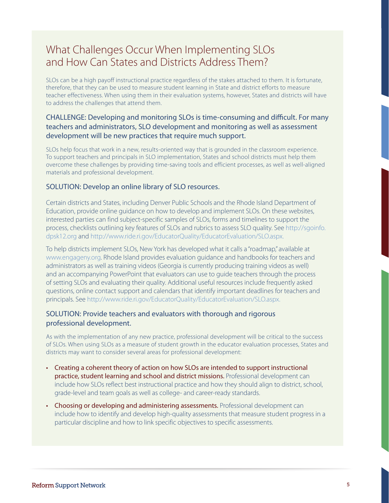## What Challenges Occur When Implementing SLOs and How Can States and Districts Address Them?

SLOs can be a high payoff instructional practice regardless of the stakes attached to them. It is fortunate, therefore, that they can be used to measure student learning in State and district efforts to measure teacher effectiveness. When using them in their evaluation systems, however, States and districts will have to address the challenges that attend them.

### CHALLENGE: Developing and monitoring SLOs is time-consuming and difficult. For many teachers and administrators, SLO development and monitoring as well as assessment development will be new practices that require much support.

SLOs help focus that work in a new, results-oriented way that is grounded in the classroom experience. To support teachers and principals in SLO implementation, States and school districts must help them overcome these challenges by providing time-saving tools and efficient processes, as well as well-aligned materials and professional development.

#### SOLUTION: Develop an online library of SLO resources.

 Certain districts and States, including Denver Public Schools and the Rhode Island Department of Education, provide online guidance on how to develop and implement SLOs. On these websites, interested parties can find subject-specific samples of SLOs, forms and timelines to support the process, checklists outlining key features of SLOs and rubrics to assess SLO quality. See [http://sgoinfo.](http://sgoinfo.dpsk12.org) [dpsk12.org](http://sgoinfo.dpsk12.org) and [http://www.ride.ri.gov/EducatorQuality/EducatorEvaluation/SLO.aspx.](http://www.ride.ri.gov/EducatorQuality/EducatorEvaluation/SLO.aspx)

 To help districts implement SLOs, New York has developed what it calls a "roadmap," available at [www.engageny.org.](www.engageny.org) Rhode Island provides evaluation guidance and handbooks for teachers and administrators as well as training videos (Georgia is currently producing training videos as well) and an accompanying PowerPoint that evaluators can use to guide teachers through the process of setting SLOs and evaluating their quality. Additional useful resources include frequently asked questions, online contact support and calendars that identify important deadlines for teachers and principals. See<http://www.ride.ri.gov/EducatorQuality/EducatorEvaluation/SLO.aspx>.

#### SOLUTION: Provide teachers and evaluators with thorough and rigorous professional development.

As with the implementation of any new practice, professional development will be critical to the success of SLOs. When using SLOs as a measure of student growth in the educator evaluation processes, States and districts may want to consider several areas for professional development:

- • Creating a coherent theory of action on how SLOs are intended to support instructional practice, student learning and school and district missions. Professional development can include how SLOs reflect best instructional practice and how they should align to district, school, grade-level and team goals as well as college- and career-ready standards.
- Choosing or developing and administering assessments. Professional development can include how to identify and develop high-quality assessments that measure student progress in a particular discipline and how to link specific objectives to specific assessments.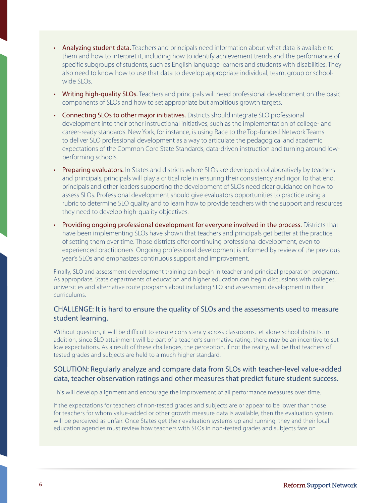- Analyzing student data. Teachers and principals need information about what data is available to them and how to interpret it, including how to identify achievement trends and the performance of specific subgroups of students, such as English language learners and students with disabilities. They also need to know how to use that data to develop appropriate individual, team, group or schoolwide SLOs.
- Writing high-quality SLOs. Teachers and principals will need professional development on the basic components of SLOs and how to set appropriate but ambitious growth targets.
- Connecting SLOs to other major initiatives. Districts should integrate SLO professional development into their other instructional initiatives, such as the implementation of college- and career-ready standards. New York, for instance, is using Race to the Top-funded Network Teams to deliver SLO professional development as a way to articulate the pedagogical and academic expectations of the Common Core State Standards, data-driven instruction and turning around lowperforming schools.
- Preparing evaluators. In States and districts where SLOs are developed collaboratively by teachers and principals, principals will play a critical role in ensuring their consistency and rigor. To that end, principals and other leaders supporting the development of SLOs need clear guidance on how to assess SLOs. Professional development should give evaluators opportunities to practice using a rubric to determine SLO quality and to learn how to provide teachers with the support and resources they need to develop high-quality objectives.
- Providing ongoing professional development for everyone involved in the process. Districts that have been implementing SLOs have shown that teachers and principals get better at the practice of setting them over time. Those districts offer continuing professional development, even to experienced practitioners. Ongoing professional development is informed by review of the previous year's SLOs and emphasizes continuous support and improvement.

Finally, SLO and assessment development training can begin in teacher and principal preparation programs. As appropriate, State departments of education and higher education can begin discussions with colleges, universities and alternative route programs about including SLO and assessment development in their curriculums.

### CHALLENGE: It is hard to ensure the quality of SLOs and the assessments used to measure student learning.

Without question, it will be difficult to ensure consistency across classrooms, let alone school districts. In addition, since SLO attainment will be part of a teacher's summative rating, there may be an incentive to set low expectations. As a result of these challenges, the perception, if not the reality, will be that teachers of tested grades and subjects are held to a much higher standard.

#### SOLUTION: Regularly analyze and compare data from SLOs with teacher-level value-added data, teacher observation ratings and other measures that predict future student success.

This will develop alignment and encourage the improvement of all performance measures over time.

If the expectations for teachers of non-tested grades and subjects are or appear to be lower than those for teachers for whom value-added or other growth measure data is available, then the evaluation system will be perceived as unfair. Once States get their evaluation systems up and running, they and their local education agencies must review how teachers with SLOs in non-tested grades and subjects fare on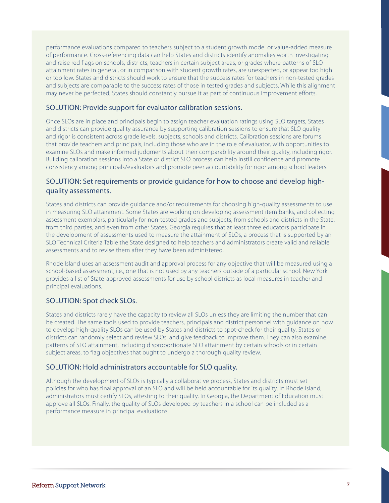performance evaluations compared to teachers subject to a student growth model or value-added measure of performance. Cross-referencing data can help States and districts identify anomalies worth investigating and raise red flags on schools, districts, teachers in certain subject areas, or grades where patterns of SLO attainment rates in general, or in comparison with student growth rates, are unexpected, or appear too high or too low. States and districts should work to ensure that the success rates for teachers in non-tested grades and subjects are comparable to the success rates of those in tested grades and subjects. While this alignment may never be perfected, States should constantly pursue it as part of continuous improvement efforts.

#### SOLUTION: Provide support for evaluator calibration sessions.

Once SLOs are in place and principals begin to assign teacher evaluation ratings using SLO targets, States and districts can provide quality assurance by supporting calibration sessions to ensure that SLO quality and rigor is consistent across grade levels, subjects, schools and districts. Calibration sessions are forums that provide teachers and principals, including those who are in the role of evaluator, with opportunities to examine SLOs and make informed judgments about their comparability around their quality, including rigor. Building calibration sessions into a State or district SLO process can help instill confidence and promote consistency among principals/evaluators and promote peer accountability for rigor among school leaders.

#### SOLUTION: Set requirements or provide guidance for how to choose and develop highquality assessments.

States and districts can provide guidance and/or requirements for choosing high-quality assessments to use in measuring SLO attainment. Some States are working on developing assessment item banks, and collecting assessment exemplars, particularly for non-tested grades and subjects, from schools and districts in the State, from third parties, and even from other States. Georgia requires that at least three educators participate in the development of assessments used to measure the attainment of SLOs, a process that is supported by an SLO Technical Criteria Table the State designed to help teachers and administrators create valid and reliable assessments and to revise them after they have been administered.

Rhode Island uses an assessment audit and approval process for any objective that will be measured using a school-based assessment, i.e., one that is not used by any teachers outside of a particular school. New York provides a list of State-approved assessments for use by school districts as local measures in teacher and principal evaluations.

#### SOLUTION: Spot check SLOs.

States and districts rarely have the capacity to review all SLOs unless they are limiting the number that can be created. The same tools used to provide teachers, principals and district personnel with guidance on how to develop high-quality SLOs can be used by States and districts to spot-check for their quality. States or districts can randomly select and review SLOs, and give feedback to improve them. They can also examine patterns of SLO attainment, including disproportionate SLO attainment by certain schools or in certain subject areas, to flag objectives that ought to undergo a thorough quality review.

#### SOLUTION: Hold administrators accountable for SLO quality.

Although the development of SLOs is typically a collaborative process, States and districts must set policies for who has final approval of an SLO and will be held accountable for its quality. In Rhode Island, administrators must certify SLOs, attesting to their quality. In Georgia, the Department of Education must approve all SLOs. Finally, the quality of SLOs developed by teachers in a school can be included as a performance measure in principal evaluations.